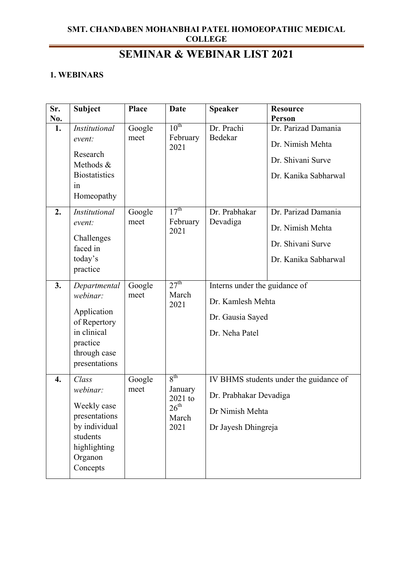# **SEMINAR & WEBINAR LIST 2021**

#### **1. WEBINARS**

| Sr.              | <b>Subject</b>                                                                                                          | <b>Place</b>                     | Date                                                                         | <b>Speaker</b>                                                                                             | <b>Resource</b>                                                                                                                 |
|------------------|-------------------------------------------------------------------------------------------------------------------------|----------------------------------|------------------------------------------------------------------------------|------------------------------------------------------------------------------------------------------------|---------------------------------------------------------------------------------------------------------------------------------|
| No.              |                                                                                                                         |                                  |                                                                              |                                                                                                            | <b>Person</b>                                                                                                                   |
| 1.<br>2.         | Institutional<br>event:<br>Research<br>Methods &<br><b>Biostatistics</b><br>in<br>Homeopathy<br>Institutional<br>event: | Google<br>meet<br>Google<br>meet | $10^{\text{th}}$<br>February<br>2021<br>$17^{\text{th}}$<br>February<br>2021 | Dr. Prachi<br>Bedekar<br>Dr. Prabhakar<br>Devadiga                                                         | Dr. Parizad Damania<br>Dr. Nimish Mehta<br>Dr. Shivani Surve<br>Dr. Kanika Sabharwal<br>Dr. Parizad Damania<br>Dr. Nimish Mehta |
|                  | Challenges<br>faced in<br>today's<br>practice                                                                           |                                  |                                                                              |                                                                                                            | Dr. Shivani Surve<br>Dr. Kanika Sabharwal                                                                                       |
| 3.               | Departmental<br>webinar:<br>Application<br>of Repertory<br>in clinical<br>practice<br>through case<br>presentations     | Google<br>meet                   | 27 <sup>th</sup><br>March<br>2021                                            | Interns under the guidance of<br>Dr. Kamlesh Mehta<br>Dr. Gausia Sayed<br>Dr. Neha Patel                   |                                                                                                                                 |
| $\overline{4}$ . | Class<br>webinar:<br>Weekly case<br>presentations<br>by individual<br>students<br>highlighting<br>Organon<br>Concepts   | Google<br>meet                   | 8 <sup>th</sup><br>January<br>2021 to<br>$26^{\rm th}$<br>March<br>2021      | IV BHMS students under the guidance of<br>Dr. Prabhakar Devadiga<br>Dr Nimish Mehta<br>Dr Jayesh Dhingreja |                                                                                                                                 |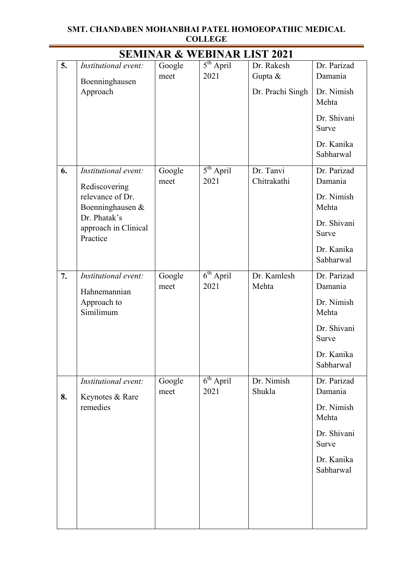#### **SMT. CHANDABEN MOHANBHAI PATEL HOMOEOPATHIC MEDICAL COLLEGE**  $\overline{\phantom{a}}$

|    |                                                  |                | <b>SEMINAR &amp; WEBINAR LIST 2021</b> |                          |                         |
|----|--------------------------------------------------|----------------|----------------------------------------|--------------------------|-------------------------|
| 5. | Institutional event:                             | Google<br>meet | $5th$ April<br>2021                    | Dr. Rakesh<br>Gupta &    | Dr. Parizad<br>Damania  |
|    | Boenninghausen<br>Approach                       |                |                                        | Dr. Prachi Singh         | Dr. Nimish<br>Mehta     |
|    |                                                  |                |                                        |                          | Dr. Shivani<br>Surve    |
|    |                                                  |                |                                        |                          | Dr. Kanika<br>Sabharwal |
| 6. | Institutional event:<br>Rediscovering            | Google<br>meet | $\overline{5^{th}$ April<br>2021       | Dr. Tanvi<br>Chitrakathi | Dr. Parizad<br>Damania  |
|    | relevance of Dr.<br>Boenninghausen &             |                |                                        |                          | Dr. Nimish<br>Mehta     |
|    | Dr. Phatak's<br>approach in Clinical<br>Practice |                |                                        |                          | Dr. Shivani<br>Surve    |
|    |                                                  |                |                                        |                          | Dr. Kanika<br>Sabharwal |
| 7. | Institutional event:<br>Hahnemannian             | Google<br>meet | $6th$ April<br>2021                    | Dr. Kamlesh<br>Mehta     | Dr. Parizad<br>Damania  |
|    | Approach to<br>Similimum                         |                |                                        |                          | Dr. Nimish<br>Mehta     |
|    |                                                  |                |                                        |                          | Dr. Shivani<br>Surve    |
|    |                                                  |                |                                        |                          | Dr. Kanika<br>Sabharwal |
| 8. | Institutional event:<br>Keynotes & Rare          | Google<br>meet | $6th$ April<br>2021                    | Dr. Nimish<br>Shukla     | Dr. Parizad<br>Damania  |
|    | remedies                                         |                |                                        |                          | Dr. Nimish<br>Mehta     |
|    |                                                  |                |                                        |                          | Dr. Shivani<br>Surve    |
|    |                                                  |                |                                        |                          | Dr. Kanika<br>Sabharwal |
|    |                                                  |                |                                        |                          |                         |
|    |                                                  |                |                                        |                          |                         |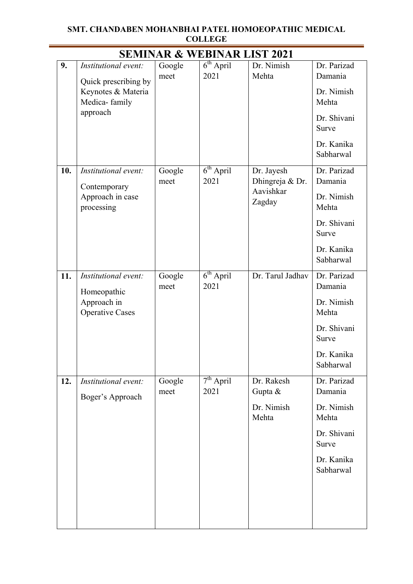#### **SMT. CHANDABEN MOHANBHAI PATEL HOMOEOPATHIC MEDICAL COLLEGE**  $\overline{\phantom{a}}$

|     |                                                             |                | <b>SEMINAR &amp; WEBINAR LIST 2021</b>   |                               |                         |
|-----|-------------------------------------------------------------|----------------|------------------------------------------|-------------------------------|-------------------------|
| 9.  | Institutional event:                                        | Google<br>meet | $\overline{6}^{\text{th}}$ April<br>2021 | Dr. Nimish<br>Mehta           | Dr. Parizad<br>Damania  |
|     | Quick prescribing by<br>Keynotes & Materia<br>Medica-family |                |                                          |                               | Dr. Nimish<br>Mehta     |
|     | approach                                                    |                |                                          |                               | Dr. Shivani<br>Surve    |
|     |                                                             |                |                                          |                               | Dr. Kanika<br>Sabharwal |
| 10. | Institutional event:<br>Contemporary                        | Google<br>meet | $6th$ April<br>2021                      | Dr. Jayesh<br>Dhingreja & Dr. | Dr. Parizad<br>Damania  |
|     | Approach in case<br>processing                              |                |                                          | Aavishkar<br>Zagday           | Dr. Nimish<br>Mehta     |
|     |                                                             |                |                                          |                               | Dr. Shivani<br>Surve    |
|     |                                                             |                |                                          |                               | Dr. Kanika<br>Sabharwal |
| 11. | Institutional event:<br>Homeopathic                         | Google<br>meet | $6th$ April<br>2021                      | Dr. Tarul Jadhav              | Dr. Parizad<br>Damania  |
|     | Approach in<br><b>Operative Cases</b>                       |                |                                          |                               | Dr. Nimish<br>Mehta     |
|     |                                                             |                |                                          |                               | Dr. Shivani<br>Surve    |
|     |                                                             |                |                                          |                               | Dr. Kanika<br>Sabharwal |
| 12. | Institutional event:<br>Boger's Approach                    | Google<br>meet | $7th$ April<br>2021                      | Dr. Rakesh<br>Gupta &         | Dr. Parizad<br>Damania  |
|     |                                                             |                |                                          | Dr. Nimish<br>Mehta           | Dr. Nimish<br>Mehta     |
|     |                                                             |                |                                          |                               | Dr. Shivani<br>Surve    |
|     |                                                             |                |                                          |                               | Dr. Kanika<br>Sabharwal |
|     |                                                             |                |                                          |                               |                         |
|     |                                                             |                |                                          |                               |                         |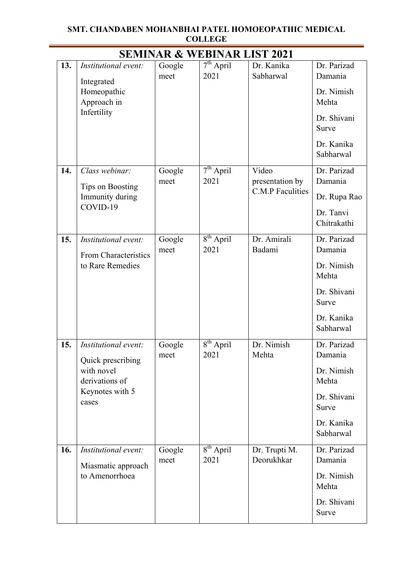#### **SMT. CHANDABEN MOHANBHAI PATEL HOMOEOPATHIC MEDICAL COLLEGE** <u> 1980 - Johann Barn, mars an t-Amerikaansk kommunister (</u> <u> 1980 - Johann Barbara, martxa amerikan p</u>

|     | <b>SEMINAR &amp; WEBINAR LIST 2021</b>       |                |                     |                             |                          |  |  |
|-----|----------------------------------------------|----------------|---------------------|-----------------------------|--------------------------|--|--|
| 13. | Institutional event:<br>Integrated           | Google<br>meet | $7th$ April<br>2021 | Dr. Kanika<br>Sabharwal     | Dr. Parizad<br>Damania   |  |  |
|     | Homeopathic<br>Approach in                   |                |                     |                             | Dr. Nimish<br>Mehta      |  |  |
|     | Infertility                                  |                |                     |                             | Dr. Shivani<br>Surve     |  |  |
|     |                                              |                |                     |                             | Dr. Kanika<br>Sabharwal  |  |  |
| 14. | Class webinar:<br>Tips on Boosting           | Google<br>meet | $7th$ April<br>2021 | Video<br>presentation by    | Dr. Parizad<br>Damania   |  |  |
|     | Immunity during                              |                |                     | C.M.P Faculities            | Dr. Rupa Rao             |  |  |
|     | COVID-19                                     |                |                     |                             | Dr. Tanvi<br>Chitrakathi |  |  |
| 15. | Institutional event:<br>From Characteristics | Google<br>meet | $8th$ April<br>2021 | Dr. Amirali<br>Badami       | Dr. Parizad<br>Damania   |  |  |
|     | to Rare Remedies                             |                |                     |                             | Dr. Nimish<br>Mehta      |  |  |
|     |                                              |                |                     |                             | Dr. Shivani<br>Surve     |  |  |
|     |                                              |                |                     |                             | Dr. Kanika<br>Sabharwal  |  |  |
| 15. | Institutional event:<br>Quick prescribing    | Google<br>meet | $8th$ April<br>2021 | Dr. Nimish<br>Mehta         | Dr. Parizad<br>Damania   |  |  |
|     | with novel<br>derivations of                 |                |                     |                             | Dr. Nimish<br>Mehta      |  |  |
|     | Keynotes with 5<br>cases                     |                |                     |                             | Dr. Shivani<br>Surve     |  |  |
|     |                                              |                |                     |                             | Dr. Kanika<br>Sabharwal  |  |  |
| 16. | Institutional event:<br>Miasmatic approach   | Google<br>meet | $8th$ April<br>2021 | Dr. Trupti M.<br>Deorukhkar | Dr. Parizad<br>Damania   |  |  |
|     | to Amenorrhoea                               |                |                     |                             | Dr. Nimish<br>Mehta      |  |  |
|     |                                              |                |                     |                             | Dr. Shivani<br>Surve     |  |  |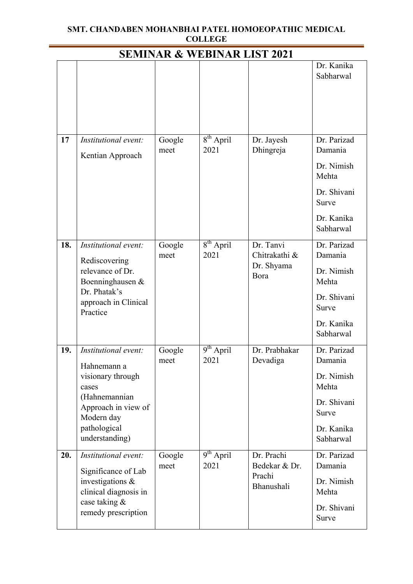#### **SMT. CHANDABEN MOHANBHAI PATEL HOMOEOPATHIC MEDICAL COLLEGE** <u> 1980 - Johann Barbara, martxa amerikan p</u>

| <b>SEMINAR &amp; WEBINAR LIST 2021</b> |                                                                                                                                                           |                |                        |                                                     |                                                                                                  |  |
|----------------------------------------|-----------------------------------------------------------------------------------------------------------------------------------------------------------|----------------|------------------------|-----------------------------------------------------|--------------------------------------------------------------------------------------------------|--|
|                                        |                                                                                                                                                           |                |                        |                                                     | Dr. Kanika<br>Sabharwal                                                                          |  |
| 17                                     | Institutional event:<br>Kentian Approach                                                                                                                  | Google<br>meet | $8th$ April<br>2021    | Dr. Jayesh<br>Dhingreja                             | Dr. Parizad<br>Damania<br>Dr. Nimish<br>Mehta<br>Dr. Shivani<br>Surve<br>Dr. Kanika<br>Sabharwal |  |
| 18.                                    | Institutional event:<br>Rediscovering<br>relevance of Dr.<br>Boenninghausen &<br>Dr. Phatak's<br>approach in Clinical<br>Practice                         | Google<br>meet | $8^{th}$ April<br>2021 | Dr. Tanvi<br>Chitrakathi &<br>Dr. Shyama<br>Bora    | Dr. Parizad<br>Damania<br>Dr. Nimish<br>Mehta<br>Dr. Shivani<br>Surve<br>Dr. Kanika<br>Sabharwal |  |
| 19.                                    | Institutional event:<br>Hahnemann a<br>visionary through<br>cases<br>(Hahnemannian<br>Approach in view of<br>Modern day<br>pathological<br>understanding) | Google<br>meet | $9th$ April<br>2021    | Dr. Prabhakar<br>Devadiga                           | Dr. Parizad<br>Damania<br>Dr. Nimish<br>Mehta<br>Dr. Shivani<br>Surve<br>Dr. Kanika<br>Sabharwal |  |
| 20.                                    | Institutional event:<br>Significance of Lab<br>investigations &<br>clinical diagnosis in<br>case taking &<br>remedy prescription                          | Google<br>meet | $9^{th}$ April<br>2021 | Dr. Prachi<br>Bedekar & Dr.<br>Prachi<br>Bhanushali | Dr. Parizad<br>Damania<br>Dr. Nimish<br>Mehta<br>Dr. Shivani<br>Surve                            |  |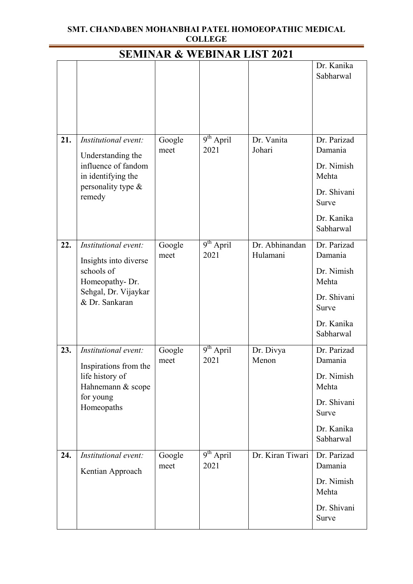#### **SMT. CHANDABEN MOHANBHAI PATEL HOMOEOPATHIC MEDICAL COLLEGE** <u> 1989 - Johann Barbara, martxa a</u>

|     | <b>SEMINAR &amp; WEBINAR LIST 2021</b>                                                                                  |                |                     |                            |                                                                                                  |  |  |
|-----|-------------------------------------------------------------------------------------------------------------------------|----------------|---------------------|----------------------------|--------------------------------------------------------------------------------------------------|--|--|
|     |                                                                                                                         |                |                     |                            | Dr. Kanika<br>Sabharwal                                                                          |  |  |
| 21. | Institutional event:<br>Understanding the<br>influence of fandom<br>in identifying the<br>personality type &<br>remedy  | Google<br>meet | $9th$ April<br>2021 | Dr. Vanita<br>Johari       | Dr. Parizad<br>Damania<br>Dr. Nimish<br>Mehta<br>Dr. Shivani<br>Surve<br>Dr. Kanika<br>Sabharwal |  |  |
| 22. | Institutional event:<br>Insights into diverse<br>schools of<br>Homeopathy-Dr.<br>Sehgal, Dr. Vijaykar<br>& Dr. Sankaran | Google<br>meet | $9th$ April<br>2021 | Dr. Abhinandan<br>Hulamani | Dr. Parizad<br>Damania<br>Dr. Nimish<br>Mehta<br>Dr. Shivani<br>Surve<br>Dr. Kanika<br>Sabharwal |  |  |
| 23. | Institutional event:<br>Inspirations from the<br>life history of<br>Hahnemann & scope<br>for young<br>Homeopaths        | Google<br>meet | $9th$ April<br>2021 | Dr. Divya<br>Menon         | Dr. Parizad<br>Damania<br>Dr. Nimish<br>Mehta<br>Dr. Shivani<br>Surve<br>Dr. Kanika<br>Sabharwal |  |  |
| 24. | Institutional event:<br>Kentian Approach                                                                                | Google<br>meet | $9th$ April<br>2021 | Dr. Kiran Tiwari           | Dr. Parizad<br>Damania<br>Dr. Nimish<br>Mehta<br>Dr. Shivani<br>Surve                            |  |  |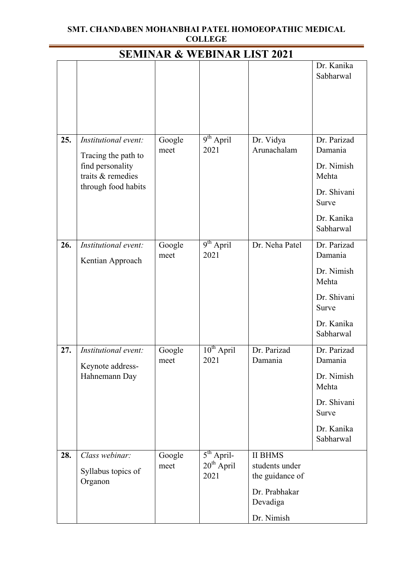#### **SMT. CHANDABEN MOHANBHAI PATEL HOMOEOPATHIC MEDICAL COLLEGE** <u> 1980 - Johann Barbara, martxa amerikan p</u>

 $\overline{\phantom{a}}$ 

| <b>SEMINAR &amp; WEBINAR LIST 2021</b> |                                                                                                             |                |                                                          |                                                                                                |                                                                                                  |  |
|----------------------------------------|-------------------------------------------------------------------------------------------------------------|----------------|----------------------------------------------------------|------------------------------------------------------------------------------------------------|--------------------------------------------------------------------------------------------------|--|
|                                        |                                                                                                             |                |                                                          |                                                                                                | Dr. Kanika<br>Sabharwal                                                                          |  |
| 25.                                    | Institutional event:<br>Tracing the path to<br>find personality<br>traits & remedies<br>through food habits | Google<br>meet | $9th$ April<br>2021                                      | Dr. Vidya<br>Arunachalam                                                                       | Dr. Parizad<br>Damania<br>Dr. Nimish<br>Mehta<br>Dr. Shivani<br>Surve<br>Dr. Kanika<br>Sabharwal |  |
| 26.                                    | Institutional event:<br>Kentian Approach                                                                    | Google<br>meet | $9th$ April<br>2021                                      | Dr. Neha Patel                                                                                 | Dr. Parizad<br>Damania<br>Dr. Nimish<br>Mehta<br>Dr. Shivani<br>Surve<br>Dr. Kanika<br>Sabharwal |  |
| 27.                                    | Institutional event:<br>Keynote address-<br>Hahnemann Day                                                   | Google<br>meet | $10^{th}$ April<br>2021                                  | Dr. Parizad<br>Damania                                                                         | Dr. Parizad<br>Damania<br>Dr. Nimish<br>Mehta<br>Dr. Shivani<br>Surve<br>Dr. Kanika<br>Sabharwal |  |
| 28.                                    | Class webinar:<br>Syllabus topics of<br>Organon                                                             | Google<br>meet | $5^{\text{th}}$ April-<br>20 <sup>th</sup> April<br>2021 | <b>II BHMS</b><br>students under<br>the guidance of<br>Dr. Prabhakar<br>Devadiga<br>Dr. Nimish |                                                                                                  |  |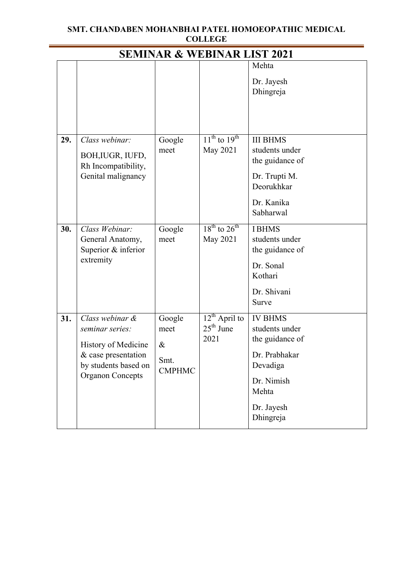#### **SMT. CHANDABEN MOHANBHAI PATEL HOMOEOPATHIC MEDICAL COLLEGE** <u> 1989 - Johann Barbara, martxa amerikan p</u>

 $\overline{\phantom{a}}$ 

|     |                                                                                                                                     |                                                 | <b>SEMINAR &amp; WEBINAR LIST 2021</b>    |                                                                                                                                    |
|-----|-------------------------------------------------------------------------------------------------------------------------------------|-------------------------------------------------|-------------------------------------------|------------------------------------------------------------------------------------------------------------------------------------|
|     |                                                                                                                                     |                                                 |                                           | Mehta<br>Dr. Jayesh<br>Dhingreja                                                                                                   |
| 29. | Class webinar:<br>BOH, IUGR, IUFD,<br>Rh Incompatibility,<br>Genital malignancy                                                     | Google<br>meet                                  | $11^{th}$ to $19^{th}$<br>May 2021        | <b>III BHMS</b><br>students under<br>the guidance of<br>Dr. Trupti M.<br>Deorukhkar<br>Dr. Kanika<br>Sabharwal                     |
| 30. | Class Webinar:<br>General Anatomy,<br>Superior & inferior<br>extremity                                                              | Google<br>meet                                  | $18^{th}$ to $26^{th}$<br>May 2021        | <b>IBHMS</b><br>students under<br>the guidance of<br>Dr. Sonal<br>Kothari<br>Dr. Shivani<br>Surve                                  |
| 31. | Class webinar &<br>seminar series:<br>History of Medicine<br>& case presentation<br>by students based on<br><b>Organon Concepts</b> | Google<br>meet<br>$\&$<br>Smt.<br><b>CMPHMC</b> | $12^{th}$ April to<br>$25th$ June<br>2021 | <b>IV BHMS</b><br>students under<br>the guidance of<br>Dr. Prabhakar<br>Devadiga<br>Dr. Nimish<br>Mehta<br>Dr. Jayesh<br>Dhingreja |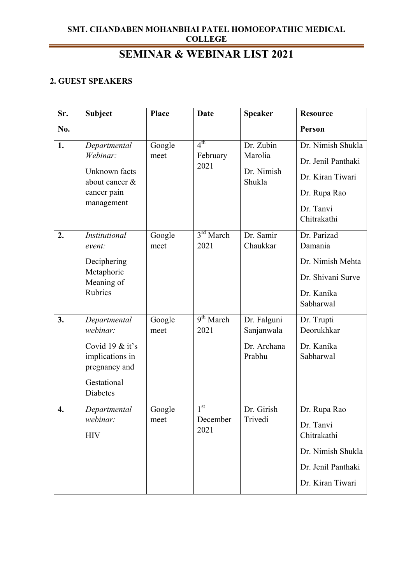# **SEMINAR & WEBINAR LIST 2021**

### **2. GUEST SPEAKERS**

| Sr.              | <b>Subject</b>                                                                                                      | <b>Place</b>   | <b>Date</b>                         | <b>Speaker</b>                                     | <b>Resource</b>                                                                                         |
|------------------|---------------------------------------------------------------------------------------------------------------------|----------------|-------------------------------------|----------------------------------------------------|---------------------------------------------------------------------------------------------------------|
| No.              |                                                                                                                     |                |                                     |                                                    | Person                                                                                                  |
| 1.               | Departmental<br>Webinar:<br>Unknown facts<br>about cancer &<br>cancer pain<br>management                            | Google<br>meet | $4^{\text{th}}$<br>February<br>2021 | Dr. Zubin<br>Marolia<br>Dr. Nimish<br>Shukla       | Dr. Nimish Shukla<br>Dr. Jenil Panthaki<br>Dr. Kiran Tiwari<br>Dr. Rupa Rao<br>Dr. Tanvi<br>Chitrakathi |
| 2.               | <b>Institutional</b><br>event:<br>Deciphering<br>Metaphoric<br>Meaning of<br>Rubrics                                | Google<br>meet | $3^{rd}$ March<br>2021              | Dr. Samir<br>Chaukkar                              | Dr. Parizad<br>Damania<br>Dr. Nimish Mehta<br>Dr. Shivani Surve<br>Dr. Kanika<br>Sabharwal              |
| 3.               | Departmental<br>webinar:<br>Covid 19 $&$ it's<br>implications in<br>pregnancy and<br>Gestational<br><b>Diabetes</b> | Google<br>meet | 9 <sup>th</sup> March<br>2021       | Dr. Falguni<br>Sanjanwala<br>Dr. Archana<br>Prabhu | Dr. Trupti<br>Deorukhkar<br>Dr. Kanika<br>Sabharwal                                                     |
| $\overline{4}$ . | Departmental<br>webinar:<br><b>HIV</b>                                                                              | Google<br>meet | 1 <sup>st</sup><br>December<br>2021 | Dr. Girish<br>Trivedi                              | Dr. Rupa Rao<br>Dr. Tanvi<br>Chitrakathi<br>Dr. Nimish Shukla<br>Dr. Jenil Panthaki<br>Dr. Kiran Tiwari |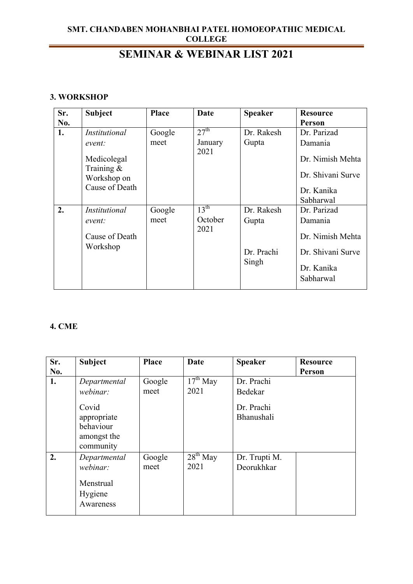## **SEMINAR & WEBINAR LIST 2021**

#### **3. WORKSHOP**

| Sr. | <b>Subject</b>                                                | Place  | Date             | <b>Speaker</b> | <b>Resource</b>                                     |
|-----|---------------------------------------------------------------|--------|------------------|----------------|-----------------------------------------------------|
| No. |                                                               |        |                  |                | Person                                              |
| 1.  | Institutional                                                 | Google | 27 <sup>th</sup> | Dr. Rakesh     | Dr. Parizad                                         |
|     | event:                                                        | meet   | January          | Gupta          | Damania                                             |
|     | Medicolegal<br>Training $\&$<br>Workshop on<br>Cause of Death |        | 2021             |                | Dr. Nimish Mehta<br>Dr. Shivani Surve<br>Dr. Kanika |
|     |                                                               |        |                  |                | Sabharwal                                           |
| 2.  | Institutional                                                 | Google | $13^{\text{th}}$ | Dr. Rakesh     | Dr. Parizad                                         |
|     | event:                                                        | meet   | October          | Gupta          | Damania                                             |
|     | Cause of Death<br>Workshop                                    |        | 2021             |                | Dr. Nimish Mehta                                    |
|     |                                                               |        |                  | Dr. Prachi     | Dr. Shivani Surve                                   |
|     |                                                               |        |                  | Singh          | Dr. Kanika<br>Sabharwal                             |

#### **4. CME**

| Sr. | <b>Subject</b>                                                | <b>Place</b>   | Date               | <b>Speaker</b>              | <b>Resource</b> |
|-----|---------------------------------------------------------------|----------------|--------------------|-----------------------------|-----------------|
| No. |                                                               |                |                    |                             | Person          |
| 1.  | Departmental<br>webinar:                                      | Google<br>meet | $17th$ May<br>2021 | Dr. Prachi<br>Bedekar       |                 |
|     | Covid<br>appropriate<br>behaviour<br>amongst the<br>community |                |                    | Dr. Prachi<br>Bhanushali    |                 |
| 2.  | Departmental<br>webinar:<br>Menstrual<br>Hygiene<br>Awareness | Google<br>meet | $28th$ May<br>2021 | Dr. Trupti M.<br>Deorukhkar |                 |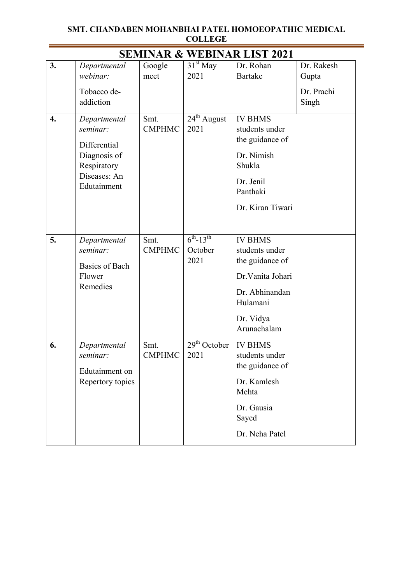|                  | COLLEGE                                                                                                |                       |                                               |                                                                                                                                    |                                            |  |  |  |
|------------------|--------------------------------------------------------------------------------------------------------|-----------------------|-----------------------------------------------|------------------------------------------------------------------------------------------------------------------------------------|--------------------------------------------|--|--|--|
|                  |                                                                                                        |                       |                                               | <b>SEMINAR &amp; WEBINAR LIST 2021</b>                                                                                             |                                            |  |  |  |
| 3.               | Departmental<br>webinar:<br>Tobacco de-<br>addiction                                                   | Google<br>meet        | $31st$ May<br>2021                            | Dr. Rohan<br><b>Bartake</b>                                                                                                        | Dr. Rakesh<br>Gupta<br>Dr. Prachi<br>Singh |  |  |  |
| $\overline{4}$ . | Departmental<br>seminar:<br>Differential<br>Diagnosis of<br>Respiratory<br>Diseases: An<br>Edutainment | Smt.<br><b>CMPHMC</b> | $24^{th}$ August<br>2021                      | <b>IV BHMS</b><br>students under<br>the guidance of<br>Dr. Nimish<br>Shukla<br>Dr. Jenil<br>Panthaki<br>Dr. Kiran Tiwari           |                                            |  |  |  |
| 5.               | Departmental<br>seminar:<br><b>Basics of Bach</b><br>Flower<br>Remedies                                | Smt.<br><b>CMPHMC</b> | $6^{th}$ -13 <sup>th</sup><br>October<br>2021 | <b>IV BHMS</b><br>students under<br>the guidance of<br>Dr. Vanita Johari<br>Dr. Abhinandan<br>Hulamani<br>Dr. Vidya<br>Arunachalam |                                            |  |  |  |
| 6.               | Departmental<br>seminar:<br>Edutainment on<br>Repertory topics                                         | Smt.<br><b>CMPHMC</b> | $29th$ October<br>2021                        | <b>IV BHMS</b><br>students under<br>the guidance of<br>Dr. Kamlesh<br>Mehta<br>Dr. Gausia<br>Sayed                                 |                                            |  |  |  |

Dr. Neha Patel

### **SMT. CHANDABEN MOHANBHAI PATEL HOMOEOPATHIC MEDICAL COLLEGE**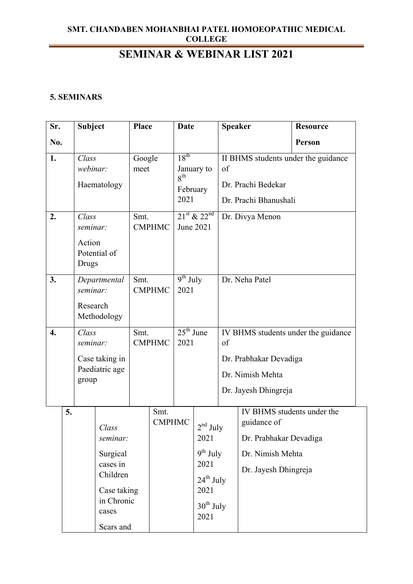# **SEMINAR & WEBINAR LIST 2021**

#### **5. SEMINARS**

| Sr.              |                                 | <b>Subject</b>    |                           | <b>Place</b>          |                                        | <b>Date</b>                        |                               | <b>Speaker</b>  |                                            | <b>Resource</b>                     |
|------------------|---------------------------------|-------------------|---------------------------|-----------------------|----------------------------------------|------------------------------------|-------------------------------|-----------------|--------------------------------------------|-------------------------------------|
| No.              |                                 |                   |                           |                       |                                        |                                    |                               |                 |                                            | Person                              |
| 1.               | Class<br>webinar:               |                   |                           | Google<br>meet        |                                        | $18^{th}$                          | January to                    | of              |                                            | II BHMS students under the guidance |
|                  |                                 |                   | Haematology               |                       |                                        |                                    | $8^{\text{th}}$<br>February   |                 | Dr. Prachi Bedekar                         |                                     |
|                  |                                 |                   |                           |                       |                                        | 2021                               |                               |                 | Dr. Prachi Bhanushali                      |                                     |
| 2.               | Class<br>seminar:               |                   | Smt.                      | <b>CMPHMC</b>         |                                        | $21^{st}$ & $22^{nd}$<br>June 2021 |                               | Dr. Divya Menon |                                            |                                     |
|                  | Action<br>Potential of<br>Drugs |                   |                           |                       |                                        |                                    |                               |                 |                                            |                                     |
| 3.               | Departmental<br>seminar:        |                   |                           | Smt.                  | $9^{th}$ July<br><b>CMPHMC</b><br>2021 |                                    |                               | Dr. Neha Patel  |                                            |                                     |
|                  | Research<br>Methodology         |                   |                           |                       |                                        |                                    |                               |                 |                                            |                                     |
| $\overline{4}$ . |                                 | Class<br>seminar: |                           | Smt.<br><b>CMPHMC</b> |                                        | $25th$ June<br>2021                |                               | of              |                                            | IV BHMS students under the guidance |
|                  |                                 |                   | Case taking in            |                       |                                        |                                    |                               |                 | Dr. Prabhakar Devadiga                     |                                     |
|                  | group                           |                   | Paediatric age            |                       |                                        |                                    |                               |                 | Dr. Nimish Mehta                           |                                     |
|                  |                                 |                   |                           |                       |                                        |                                    |                               |                 | Dr. Jayesh Dhingreja                       |                                     |
|                  | 5.                              |                   | Class                     |                       | Smt.<br><b>CMPHMC</b>                  |                                    | $2nd$ July                    |                 | IV BHMS students under the<br>guidance of  |                                     |
|                  |                                 |                   | seminar:                  |                       |                                        |                                    | 2021<br>$9^{th}$ July         |                 | Dr. Prabhakar Devadiga<br>Dr. Nimish Mehta |                                     |
|                  |                                 |                   | Surgical<br>cases in      |                       |                                        |                                    | 2021                          |                 |                                            |                                     |
|                  |                                 |                   | Children                  |                       |                                        |                                    | $24^{\text{th}}$ July         |                 | Dr. Jayesh Dhingreja                       |                                     |
|                  |                                 |                   | Case taking<br>in Chronic |                       |                                        |                                    | 2021                          |                 |                                            |                                     |
|                  |                                 |                   | cases                     |                       |                                        |                                    | $30^{\text{th}}$ July<br>2021 |                 |                                            |                                     |
|                  |                                 |                   | Scars and                 |                       |                                        |                                    |                               |                 |                                            |                                     |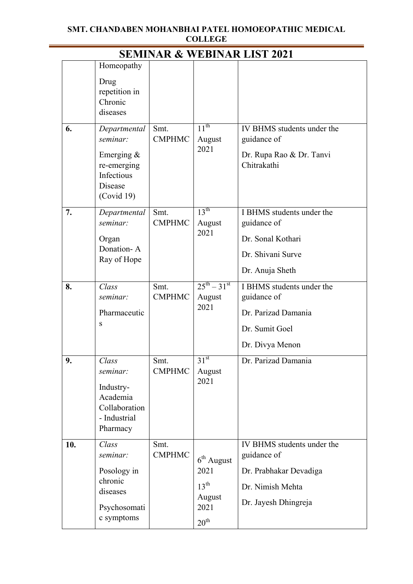$\equiv$ 

| <b>SEMINAR &amp; WEBINAR LIST 2021</b> |                                                                                                 |                       |                                                                                |                                                                                                                 |  |  |  |
|----------------------------------------|-------------------------------------------------------------------------------------------------|-----------------------|--------------------------------------------------------------------------------|-----------------------------------------------------------------------------------------------------------------|--|--|--|
|                                        | Homeopathy<br>Drug<br>repetition in<br>Chronic<br>diseases                                      |                       |                                                                                |                                                                                                                 |  |  |  |
| 6.                                     | Departmental<br>seminar:<br>Emerging $\&$<br>re-emerging<br>Infectious<br>Disease<br>(Covid 19) | Smt.<br><b>CMPHMC</b> | $11^{\text{th}}$<br>August<br>2021                                             | IV BHMS students under the<br>guidance of<br>Dr. Rupa Rao & Dr. Tanvi<br>Chitrakathi                            |  |  |  |
| 7.                                     | Departmental<br>seminar:<br>Organ<br>Donation-A<br>Ray of Hope                                  | Smt.<br><b>CMPHMC</b> | $13^{\text{th}}$<br>August<br>2021                                             | I BHMS students under the<br>guidance of<br>Dr. Sonal Kothari<br>Dr. Shivani Surve<br>Dr. Anuja Sheth           |  |  |  |
| 8.                                     | Class<br>seminar:<br>Pharmaceutic<br>S                                                          | Smt.<br><b>CMPHMC</b> | $25^{th} - 31^{st}$<br>August<br>2021                                          | I BHMS students under the<br>guidance of<br>Dr. Parizad Damania<br>Dr. Sumit Goel<br>Dr. Divya Menon            |  |  |  |
| 9.                                     | Class<br>seminar:<br>Industry-<br>Academia<br>Collaboration<br>- Industrial<br>Pharmacy         | Smt.<br><b>CMPHMC</b> | $31^{st}$<br>August<br>2021                                                    | Dr. Parizad Damania                                                                                             |  |  |  |
| 10.                                    | Class<br>seminar:<br>Posology in<br>chronic<br>diseases<br>Psychosomati<br>c symptoms           | Smt.<br><b>CMPHMC</b> | $6th$ August<br>2021<br>$13^{\text{th}}$<br>August<br>2021<br>$20^{\text{th}}$ | IV BHMS students under the<br>guidance of<br>Dr. Prabhakar Devadiga<br>Dr. Nimish Mehta<br>Dr. Jayesh Dhingreja |  |  |  |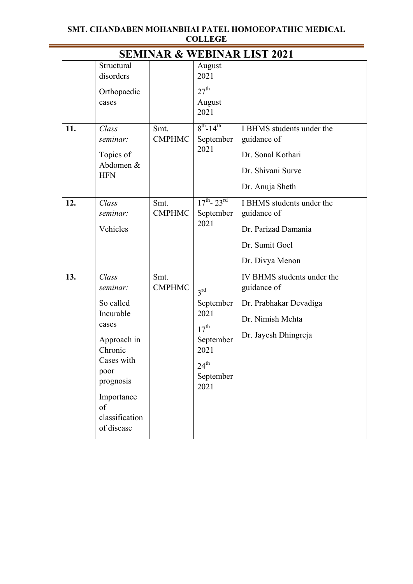|     |                                                                                                                                                                       |                       |                                                                                                                        | <b>SEMINAR &amp; WEBINAR LIST 2021</b>                                                                          |
|-----|-----------------------------------------------------------------------------------------------------------------------------------------------------------------------|-----------------------|------------------------------------------------------------------------------------------------------------------------|-----------------------------------------------------------------------------------------------------------------|
|     | Structural<br>disorders<br>Orthopaedic<br>cases                                                                                                                       |                       | August<br>2021<br>27 <sup>th</sup><br>August<br>2021                                                                   |                                                                                                                 |
| 11. | Class<br>seminar:<br>Topics of<br>Abdomen &<br><b>HFN</b>                                                                                                             | Smt.<br><b>CMPHMC</b> | $8^{th}$ -14 <sup>th</sup><br>September<br>2021                                                                        | I BHMS students under the<br>guidance of<br>Dr. Sonal Kothari<br>Dr. Shivani Surve<br>Dr. Anuja Sheth           |
| 12. | Class<br>seminar:<br>Vehicles                                                                                                                                         | Smt.<br><b>CMPHMC</b> | $17^{th}$ - $23^{rd}$<br>September<br>2021                                                                             | I BHMS students under the<br>guidance of<br>Dr. Parizad Damania<br>Dr. Sumit Goel<br>Dr. Divya Menon            |
| 13. | Class<br>seminar:<br>So called<br>Incurable<br>cases<br>Approach in<br>Chronic<br>Cases with<br>poor<br>prognosis<br>Importance<br>of<br>classification<br>of disease | Smt.<br><b>CMPHMC</b> | 3 <sup>rd</sup><br>September<br>2021<br>$17^{\text{th}}$<br>September<br>2021<br>$24^{\text{th}}$<br>September<br>2021 | IV BHMS students under the<br>guidance of<br>Dr. Prabhakar Devadiga<br>Dr. Nimish Mehta<br>Dr. Jayesh Dhingreja |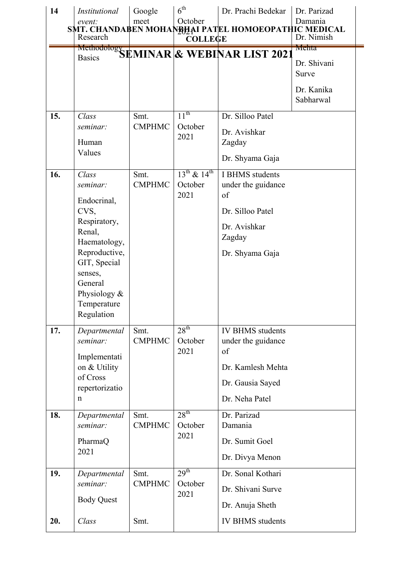| 14  | <b>Institutional</b>                                                                                                                                                                   | Google                | $6^{\text{th}}$                          | Dr. Prachi Bedekar                                                                                             | Dr. Parizad                                              |
|-----|----------------------------------------------------------------------------------------------------------------------------------------------------------------------------------------|-----------------------|------------------------------------------|----------------------------------------------------------------------------------------------------------------|----------------------------------------------------------|
|     | event:<br>Research                                                                                                                                                                     | meet                  | October<br><b>COLLEGE</b>                | SMT. CHANDABEN MOHANBHAI PATEL HOMOEOPATHIC MEDICAL                                                            | Damania<br>Dr. Nimish                                    |
|     |                                                                                                                                                                                        |                       |                                          | Methodology SEMINAR & WEBINAR LIST 2021                                                                        | Mehta<br>Dr. Shivani<br>Surve<br>Dr. Kanika<br>Sabharwal |
| 15. | Class<br>seminar:<br>Human<br>Values                                                                                                                                                   | Smt.<br><b>CMPHMC</b> | $11^{\text{th}}$<br>October<br>2021      | Dr. Silloo Patel<br>Dr. Avishkar<br>Zagday<br>Dr. Shyama Gaja                                                  |                                                          |
| 16. | Class<br>seminar:<br>Endocrinal,<br>CVS,<br>Respiratory,<br>Renal,<br>Haematology,<br>Reproductive,<br>GIT, Special<br>senses,<br>General<br>Physiology &<br>Temperature<br>Regulation | Smt.<br><b>CMPHMC</b> | $13^{th}$ & $14^{th}$<br>October<br>2021 | I BHMS students<br>under the guidance<br>of<br>Dr. Silloo Patel<br>Dr. Avishkar<br>Zagday<br>Dr. Shyama Gaja   |                                                          |
| 17. | Departmental<br>seminar:<br>Implementati<br>on & Utility<br>of Cross<br>repertorizatio<br>n                                                                                            | Smt.<br><b>CMPHMC</b> | $28^{\text{th}}$<br>October<br>2021      | <b>IV BHMS</b> students<br>under the guidance<br>of<br>Dr. Kamlesh Mehta<br>Dr. Gausia Sayed<br>Dr. Neha Patel |                                                          |
| 18. | Departmental<br>seminar:<br>PharmaQ<br>2021                                                                                                                                            | Smt.<br><b>CMPHMC</b> | $28^{\text{th}}$<br>October<br>2021      | Dr. Parizad<br>Damania<br>Dr. Sumit Goel<br>Dr. Divya Menon                                                    |                                                          |
| 19. | Departmental<br>seminar:<br><b>Body Quest</b>                                                                                                                                          | Smt.<br><b>CMPHMC</b> | 29 <sup>th</sup><br>October<br>2021      | Dr. Sonal Kothari<br>Dr. Shivani Surve<br>Dr. Anuja Sheth                                                      |                                                          |
| 20. | Class                                                                                                                                                                                  | Smt.                  |                                          | <b>IV BHMS</b> students                                                                                        |                                                          |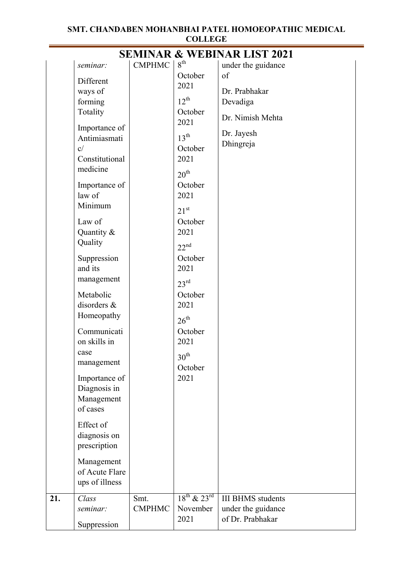|     |                           |               |                       | <b>SEMINAR &amp; WEBINAR LIST 2021</b> |
|-----|---------------------------|---------------|-----------------------|----------------------------------------|
|     | seminar:                  | <b>CMPHMC</b> | $8^{\text{th}}$       | under the guidance                     |
|     | Different                 |               | October               | of                                     |
|     | ways of                   |               | 2021                  | Dr. Prabhakar                          |
|     | forming                   |               | $12^{th}$             | Devadiga                               |
|     | Totality                  |               | October               | Dr. Nimish Mehta                       |
|     | Importance of             |               | 2021                  |                                        |
|     | Antimiasmati              |               | $13^{\text{th}}$      | Dr. Jayesh                             |
|     | c/                        |               | October               | Dhingreja                              |
|     | Constitutional            |               | 2021                  |                                        |
|     | medicine                  |               | $20^{\text{th}}$      |                                        |
|     | Importance of             |               | October               |                                        |
|     | law of                    |               | 2021                  |                                        |
|     | Minimum                   |               | $21^{st}$             |                                        |
|     | Law of                    |               | October               |                                        |
|     | Quantity &                |               | 2021                  |                                        |
|     | Quality                   |               | $22^{nd}$             |                                        |
|     | Suppression               |               | October               |                                        |
|     | and its                   |               | 2021                  |                                        |
|     | management                |               |                       |                                        |
|     |                           |               | $23^{\text{rd}}$      |                                        |
|     | Metabolic                 |               | October               |                                        |
|     | disorders &<br>Homeopathy |               | 2021                  |                                        |
|     |                           |               | $26^{\text{th}}$      |                                        |
|     | Communicati               |               | October               |                                        |
|     | on skills in              |               | 2021                  |                                        |
|     | case                      |               | 30 <sup>th</sup>      |                                        |
|     | management                |               | October               |                                        |
|     | Importance of             |               | 2021                  |                                        |
|     | Diagnosis in              |               |                       |                                        |
|     | Management                |               |                       |                                        |
|     | of cases                  |               |                       |                                        |
|     | Effect of                 |               |                       |                                        |
|     | diagnosis on              |               |                       |                                        |
|     | prescription              |               |                       |                                        |
|     | Management                |               |                       |                                        |
|     | of Acute Flare            |               |                       |                                        |
|     | ups of illness            |               |                       |                                        |
| 21. | Class                     | Smt.          | $18^{th}$ & $23^{rd}$ | <b>III BHMS</b> students               |
|     | seminar:                  | <b>CMPHMC</b> | November              | under the guidance                     |
|     | Suppression               |               | 2021                  | of Dr. Prabhakar                       |